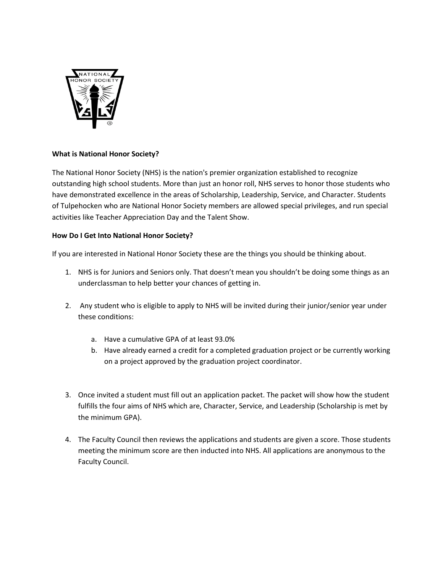

## **What is National Honor Society?**

The National Honor Society (NHS) is the nation's premier organization established to recognize outstanding high school students. More than just an honor roll, NHS serves to honor those students who have demonstrated excellence in the areas of Scholarship, Leadership, Service, and Character. Students of Tulpehocken who are National Honor Society members are allowed special privileges, and run special activities like Teacher Appreciation Day and the Talent Show.

## **How Do I Get Into National Honor Society?**

If you are interested in National Honor Society these are the things you should be thinking about.

- 1. NHS is for Juniors and Seniors only. That doesn't mean you shouldn't be doing some things as an underclassman to help better your chances of getting in.
- 2. Any student who is eligible to apply to NHS will be invited during their junior/senior year under these conditions:
	- a. Have a cumulative GPA of at least 93.0%
	- b. Have already earned a credit for a completed graduation project or be currently working on a project approved by the graduation project coordinator.
- 3. Once invited a student must fill out an application packet. The packet will show how the student fulfills the four aims of NHS which are, Character, Service, and Leadership (Scholarship is met by the minimum GPA).
- 4. The Faculty Council then reviews the applications and students are given a score. Those students meeting the minimum score are then inducted into NHS. All applications are anonymous to the Faculty Council.